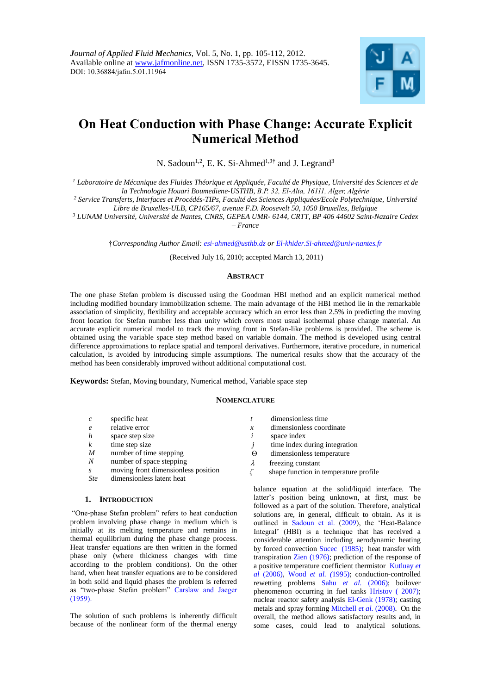

# **On Heat Conduction with Phase Change: Accurate Explicit Numerical Method**

N. Sadoun<sup>1,2</sup>, E. K. Si-Ahmed<sup>1,3†</sup> and J. Legrand<sup>3</sup>

*<sup>1</sup> Laboratoire de Mécanique des Fluides Théorique et Appliquée, Faculté de Physique, Université des Sciences et de la Technologie Houari Boumediene-USTHB, B.P. 32, El-Alia, 16111, Alger, Algérie*

*<sup>2</sup> Service Transferts, Interfaces et Procédés-TIPs, Faculté des Sciences Appliquées/Ecole Polytechnique, Université* 

*Libre de Bruxelles-ULB, CP165/67, avenue F.D. Roosevelt 50, 1050 Bruxelles, Belgique*

*<sup>3</sup> LUNAM Université, Université de Nantes, CNRS, GEPEA UMR- 6144, CRTT, BP 406 44602 Saint-Nazaire Cedex – France*

†*Corresponding Author Email: [esi-ahmed@usthb.dz](mailto:esi-ahmed@usthb.dz) or El-khider.Si-ahmed@univ-nantes.fr*

(Received July 16, 2010; accepted March 13, 2011)

# **ABSTRACT**

The one phase Stefan problem is discussed using the Goodman HBI method and an explicit numerical method including modified boundary immobilization scheme. The main advantage of the HBI method lie in the remarkable association of simplicity, flexibility and acceptable accuracy which an error less than 2.5% in predicting the moving front location for Stefan number less than unity which covers most usual isothermal phase change material. An accurate explicit numerical model to track the moving front in Stefan-like problems is provided. The scheme is obtained using the variable space step method based on variable domain. The method is developed using central difference approximations to replace spatial and temporal derivatives. Furthermore, iterative procedure, in numerical calculation, is avoided by introducing simple assumptions. The numerical results show that the accuracy of the method has been considerably improved without additional computational cost.

**Keywords:** Stefan, Moving boundary, Numerical method, Variable space step

# **NOMENCLATURE**

| $\mathcal{C}_{\mathcal{C}}$ | specific heat                       |                     | dimensionless time                    |
|-----------------------------|-------------------------------------|---------------------|---------------------------------------|
| $\epsilon$                  | relative error                      | $\boldsymbol{\chi}$ | dimensionless coordinate              |
| $\boldsymbol{h}$            | space step size                     |                     | space index                           |
| $\boldsymbol{k}$            | time step size                      |                     | time index during integration         |
| $\boldsymbol{M}$            | number of time stepping             | Θ                   | dimensionless temperature             |
| $\boldsymbol{N}$            | number of space stepping            | λ                   | freezing constant                     |
| $\mathcal{S}$               | moving front dimensionless position | $\cdot$ $\sim$      | shape function in temperature profile |
| <b>Ste</b>                  | dimensionless latent heat           |                     |                                       |

# **1. INTRODUCTION**

"One-phase Stefan problem" refers to heat conduction problem involving phase change in medium which is initially at its melting temperature and remains in thermal equilibrium during the phase change process. Heat transfer equations are then written in the formed phase only (where thickness changes with time according to the problem conditions). On the other hand, when heat transfer equations are to be considered in both solid and liquid phases the problem is referred as "two-phase Stefan problem" Carslaw and Jaeger (1959).

The solution of such problems is inherently difficult because of the nonlinear form of the thermal energy

balance equation at the solid/liquid interface. The latter's position being unknown, at first, must be followed as a part of the solution. Therefore, analytical solutions are, in general, difficult to obtain. As it is outlined in Sadoun et al. (2009), the 'Heat-Balance Integral' (HBI) is a technique that has received a considerable attention including aerodynamic heating by forced convection Sucec (1985); heat transfer with transpiration Zien (1976); prediction of the response of a positive temperature coefficient thermistor Kutluay *et al* (2006), Wood *et al. (*1995); conduction-controlled rewetting problems Sahu *et al.* (2006); boilover phenomenon occurring in fuel tanks Hristov ( 2007); nuclear reactor safety analysis El-Genk (1978); casting metals and spray forming Mitchell *et al.* (2008). On the overall, the method allows satisfactory results and, in some cases, could lead to analytical solutions.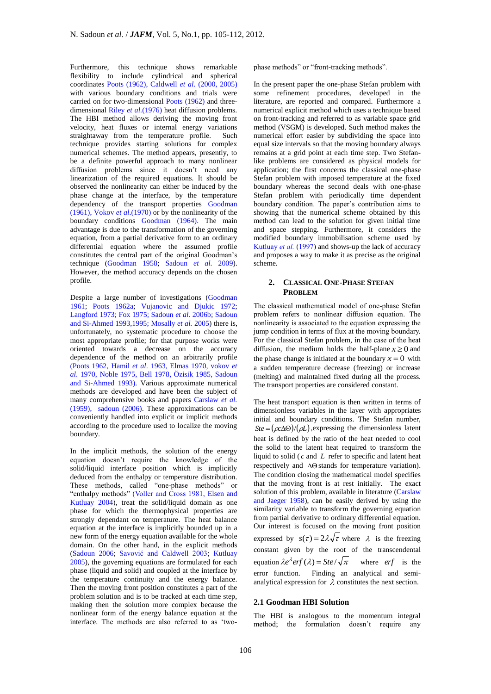Furthermore, this technique shows remarkable flexibility to include cylindrical and spherical coordinates Poots (1962), Caldwell *et al.* (2000, 2005) with various boundary conditions and trials were carried on for two-dimensional Poots (1962) and threedimensional Riley *et al.*(1976) heat diffusion problems. The HBI method allows deriving the moving front velocity, heat fluxes or internal energy variations straightaway from the temperature profile. Such technique provides starting solutions for complex numerical schemes. The method appears, presently, to be a definite powerful approach to many nonlinear diffusion problems since it doesn't need any linearization of the required equations. It should be observed the nonlinearity can either be induced by the phase change at the interface, by the temperature dependency of the transport properties Goodman (1961), Vokov *et al*.(1970) or by the nonlinearity of the boundary conditions Goodman (1964). The main advantage is due to the transformation of the governing equation, from a partial derivative form to an ordinary differential equation where the assumed profile constitutes the central part of the original Goodman's technique (Goodman 1958; Sadoun *et al.* 2009). However, the method accuracy depends on the chosen profile.

Despite a large number of investigations (Goodman 1961; Poots 1962a; Vujanovic and Djukic 1972; Langford 1973; Fox 1975; Sadoun *et al.* 2006b; Sadoun and Si-Ahmed 1993,1995; Mosally *et al.* 2005) there is, unfortunately, no systematic procedure to choose the most appropriate profile; for that purpose works were oriented towards a decrease on the accuracy dependence of the method on an arbitrarily profile (Poots 1962, Hamil *et al*. 1963, Elmas 1970, vokov *et al*. 1970, Noble 1975, Bell 1978, Özisik 1985, Sadoun and Si-Ahmed 1993). Various approximate numerical methods are developed and have been the subject of many comprehensive books and papers Carslaw *et al.* (1959), sadoun (2006). These approximations can be conveniently handled into explicit or implicit methods according to the procedure used to localize the moving boundary.

In the implicit methods, the solution of the energy equation doesn't require the knowledge of the solid/liquid interface position which is implicitly deduced from the enthalpy or temperature distribution. These methods, called "one-phase methods" or "enthalpy methods" (Voller and Cross 1981, Elsen and Kutluay 2004), treat the solid/liquid domain as one phase for which the thermophysical properties are strongly dependant on temperature. The heat balance equation at the interface is implicitly bounded up in a new form of the energy equation available for the whole domain. On the other hand, in the explicit methods (Sadoun 2006; Savović and Caldwell 2003; Kutluay 2005), the governing equations are formulated for each phase (liquid and solid) and coupled at the interface by the temperature continuity and the energy balance. Then the moving front position constitutes a part of the problem solution and is to be tracked at each time step, making then the solution more complex because the nonlinear form of the energy balance equation at the interface. The methods are also referred to as 'twophase methods" or "front-tracking methods".

In the present paper the one-phase Stefan problem with some refinement procedures, developed in the literature, are reported and compared. Furthermore a numerical explicit method which uses a technique based on front-tracking and referred to as variable space grid method (VSGM) is developed. Such method makes the numerical effort easier by subdividing the space into equal size intervals so that the moving boundary always remains at a grid point at each time step. Two Stefanlike problems are considered as physical models for application; the first concerns the classical one-phase Stefan problem with imposed temperature at the fixed boundary whereas the second deals with one-phase Stefan problem with periodically time dependent boundary condition. The paper's contribution aims to showing that the numerical scheme obtained by this method can lead to the solution for given initial time and space stepping. Furthermore, it considers the modified boundary immobilisation scheme used by Kutluay *et al.* (1997) and shows-up the lack of accuracy and proposes a way to make it as precise as the original scheme.

## **2. CLASSICAL ONE-PHASE STEFAN PROBLEM**

The classical mathematical model of one-phase Stefan problem refers to nonlinear diffusion equation. The nonlinearity is associated to the equation expressing the jump condition in terms of flux at the moving boundary. For the classical Stefan problem, in the case of the heat diffusion, the medium holds the half-plane  $x \ge 0$  and the phase change is initiated at the boundary  $x = 0$  with a sudden temperature decrease (freezing) or increase (melting) and maintained fixed during all the process. The transport properties are considered constant.

The heat transport equation is then written in terms of dimensionless variables in the layer with appropriates initial and boundary conditions. The Stefan number,  $Ste = (\rho c \Delta \Theta) / (\rho L)$ , expressing the dimensionless latent heat is defined by the ratio of the heat needed to cool the solid to the latent heat required to transform the liquid to solid ( *c* and *L* refer to specific and latent heat respectively and  $\Delta\Theta$  stands for temperature variation). The condition closing the mathematical model specifies that the moving front is at rest initially. The exact solution of this problem, available in literature (Carslaw and Jaeger 1958), can be easily derived by using the similarity variable to transform the governing equation from partial derivative to ordinary differential equation. Our interest is focused on the moving front position expressed by  $s(\tau) = 2\lambda \sqrt{\tau}$  where  $\lambda$  is the freezing constant given by the root of the transcendental equation  $\lambda e^{\lambda} erf(\lambda) = Ste/\sqrt{\pi}$  where *erf* is the error function. Finding an analytical and semianalytical expression for  $\lambda$  constitutes the next section.

# **2.1 Goodman HBI Solution**

The HBI is analogous to the momentum integral method; the formulation doesn't require any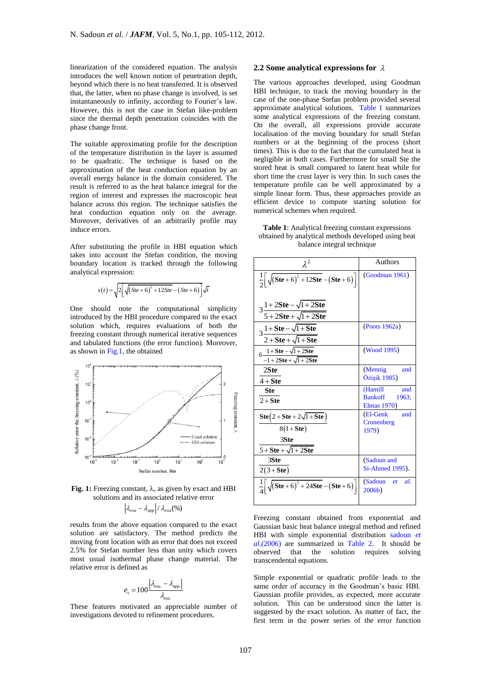linearization of the considered equation. The analysis introduces the well known notion of penetration depth, beyond which there is no heat transferred. It is observed that, the latter, when no phase change is involved, is set instantaneously to infinity, according to Fourier's law. However, this is not the case in Stefan like-problem since the thermal depth penetration coincides with the phase change front.

The suitable approximating profile for the description of the temperature distribution in the layer is assumed to be quadratic. The technique is based on the approximation of the heat conduction equation by an overall energy balance in the domain considered. The result is referred to as the heat balance integral for the region of interest and expresses the macroscopic heat balance across this region. The technique satisfies the heat conduction equation only on the average. Moreover, derivatives of an arbitrarily profile may induce errors.

After substituting the profile in HBI equation which takes into account the Stefan condition, the moving boundary location is tracked through the following analytical expression:

$$
s(t) = \sqrt{2\left[\sqrt{(Ste+6)^2 + 12Ste} - (Ste+6)\right]}\sqrt{t}
$$

One should note the computational simplicity introduced by the HBI procedure compared to the exact solution which, requires evaluations of both the freezing constant through numerical iterative sequences and tabulated functions (the error function). Moreover, as shown in Fig.1, the obtained



Fig. 1: Freezing constant, λ, as given by exact and HBI solutions and its associated relative error

$$
\left|\lambda_{exa}-\lambda_{app}\right|/\lambda_{exa}(%)
$$

results from the above equation compared to the exact solution are satisfactory. The method predicts the moving front location with an error that does not exceed 2.5% for Stefan number less than unity which covers most usual isothermal phase change material. The relative error is defined as

$$
e_{s} = 100 \frac{|\lambda_{exa.} - \lambda_{app.}|}{\lambda_{exa.}}
$$

These features motivated an appreciable number of investigations devoted to refinement procedures.

## **2.2 Some analytical expressions for**

The various approaches developed, using Goodman HBI technique, to track the moving boundary in the case of the one-phase Stefan problem provided several approximate analytical solutions. Table 1 summarizes some analytical expressions of the freezing constant. On the overall, all expressions provide accurate localisation of the moving boundary for small Stefan numbers or at the beginning of the process (short times). This is due to the fact that the cumulated heat is negligible in both cases. Furthermore for small Ste the stored heat is small compared to latent heat while for short time the crust layer is very thin. In such cases the temperature profile can be well approximated by a simple linear form. Thus, these approaches provide an efficient device to compute starting solution for numerical schemes when required.

| <b>Table 1:</b> Analytical freezing constant expressions |
|----------------------------------------------------------|
| obtained by analytical methods developed using heat      |
| balance integral technique                               |

| $\lambda^2$                                                                                             | <b>Authors</b>                                           |  |  |
|---------------------------------------------------------------------------------------------------------|----------------------------------------------------------|--|--|
| $\frac{1}{2} \sqrt{(Ste + 6)^2 + 12Ste - (Ste + 6)}$                                                    | (Goodman 1961)                                           |  |  |
| $3\frac{1+2Ste-\sqrt{1+2Ste}}{1+2$<br>$5+2$ Ste + $\sqrt{1+2}$ Ste                                      |                                                          |  |  |
| $3\frac{1+Ste - \sqrt{1+Ste}}{1+Ste}$<br>$2 + Ste + \sqrt{1 + Ste}$                                     | (Poots 1962a)                                            |  |  |
| $6\frac{1+Ste - \sqrt{1+2Ste}}{1+2Ste}$<br>$-1+2$ Ste + $\sqrt{1+2}$ Ste                                | (Wood 1995)                                              |  |  |
| 2Ste<br>$4 + Ste$                                                                                       | (Mennig)<br>and<br>Özişik 1985)                          |  |  |
| Ste<br>$2 + Ste$                                                                                        | (Hamill<br>and<br><b>Bankoff</b><br>1963;<br>Elmas 1970) |  |  |
| $\text{Ste}(2 + \text{Ste} + 2\sqrt{1 + \text{Ste}})$<br>$8(1+$ Ste)<br>3Ste<br>$5+Ste + \sqrt{1+2Ste}$ | (El-Genk<br>and<br>Cronenberg<br>1979)                   |  |  |
| 3Ste<br>$2(3+Ste)$                                                                                      | (Sadoun and<br>Si-Ahmed 1995).                           |  |  |
| $\frac{1}{4} \sqrt{(Ste + 6)^2 + 24Ste - (Ste + 6)}$                                                    | (Sadoun <i>et</i><br>al.<br>2006b)                       |  |  |

Freezing constant obtained from exponential and Gaussian basic heat balance integral method and refined HBI with simple exponential distribution sadoun *et al.(*2006) are summarized in Table 2. It should be observed that the solution requires solving transcendental equations.

Simple exponential or quadratic profile leads to the same order of accuracy in the Goodman's basic HBI. Gaussian profile provides, as expected, more accurate solution. This can be understood since the latter is suggested by the exact solution. As matter of fact, the first term in the power series of the error function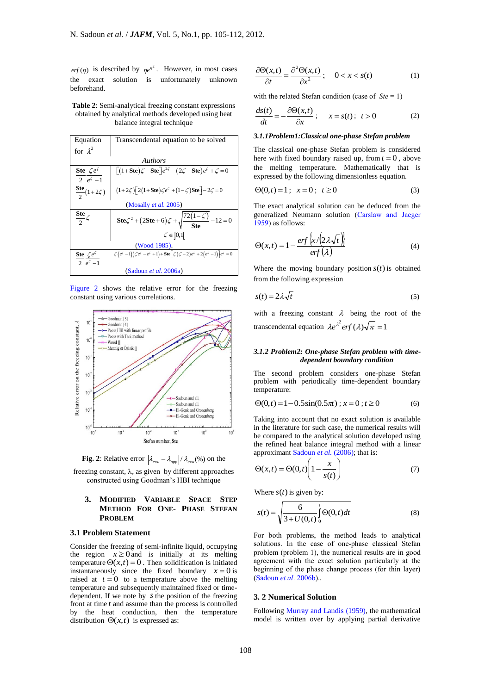is described by  $\eta e^{\eta^2}$ . However, in most cases the exact solution is unfortunately unknown beforehand.

**Table 2**: Semi-analytical freezing constant expressions obtained by analytical methods developed using heat balance integral technique

| Equation                                   | Transcendental equation to be solved                                                                                                                      |  |  |  |  |  |
|--------------------------------------------|-----------------------------------------------------------------------------------------------------------------------------------------------------------|--|--|--|--|--|
| for $\lambda^2$                            |                                                                                                                                                           |  |  |  |  |  |
| <b>Authors</b>                             |                                                                                                                                                           |  |  |  |  |  |
| Ste $\zeta e^{\zeta}$<br>$2 e^{\zeta} - 1$ | $\int (1+ \text{Ste}) \zeta - \text{Ste} \, e^{2\zeta} - (2\zeta - \text{Ste}) e^{\zeta} + \zeta = 0$                                                     |  |  |  |  |  |
| $\frac{\text{Ste}}{2}(1+2\zeta)$           | $(1+2\zeta)\left[2(1+\text{Ste})\zeta e^{\zeta}+(1-\zeta)\text{Ste}\right]-2\zeta=0$                                                                      |  |  |  |  |  |
| (Mosally <i>et al.</i> 2005)               |                                                                                                                                                           |  |  |  |  |  |
| $\frac{\text{Ste}}{2}\zeta$                | Ste $\zeta^2 + (2$ Ste + 6) $\zeta + \sqrt{\frac{72(1-\zeta)}{8t\rho}} - 12 = 0$                                                                          |  |  |  |  |  |
| $\zeta \in ]0,1[$                          |                                                                                                                                                           |  |  |  |  |  |
| (Wood 1985).                               |                                                                                                                                                           |  |  |  |  |  |
| Ste $\zeta e^{\zeta}$<br>2 $e^{\zeta}-1$   | $\zeta\big(e^{\zeta}-1\big)\big(\zeta e^{\zeta}-e^{\zeta}+1\big)+\mathrm{Ste}\big[\zeta\big(\zeta-2\big)e^{\zeta}+2\big(e^{\zeta}-1\big)\big]e^{\zeta}=0$ |  |  |  |  |  |
| (Sadoun et al. 2006a)                      |                                                                                                                                                           |  |  |  |  |  |

Figure 2 shows the relative error for the freezing constant using various correlations.



**Fig. 2**: Relative error  $\left|\lambda_{exa} - \lambda_{app}\right| / \lambda_{exa}$  (%) on the

freezing constant,  $\lambda$ , as given by different approaches constructed using Goodman's HBI technique

# **3. MODIFIED VARIABLE SPACE STEP METHOD FOR ONE- PHASE STEFAN PROBLEM**

## **3.1 Problem Statement**

Consider the freezing of semi-infinite liquid, occupying the region  $x \ge 0$  and is initially at its melting temperature  $\Theta(x,t) = 0$ . Then solidification is initiated instantaneously since the fixed boundary  $x = 0$  is raised at  $t = 0$  to a temperature above the melting temperature and subsequently maintained fixed or timedependent. If we note by *s* the position of the freezing front at time *t* and assume than the process is controlled by the heat conduction, then the temperature distribution  $\Theta(x,t)$  is expressed as:

$$
\frac{\partial \Theta(x,t)}{\partial t} = \frac{\partial^2 \Theta(x,t)}{\partial x^2}; \quad 0 < x < s(t) \tag{1}
$$

with the related Stefan condition (case of *Ste* = 1)

$$
\frac{ds(t)}{dt} = -\frac{\partial \Theta(x,t)}{\partial x}; \quad x = s(t); \ t > 0 \tag{2}
$$

#### *3.1.1Problem1:Classical one-phase Stefan problem*

The classical one-phase Stefan problem is considered here with fixed boundary raised up, from  $t = 0$ , above the melting temperature. Mathematically that is expressed by the following dimensionless equation.

$$
\Theta(0,t) = 1 \; ; \; x = 0 \; ; \; t \ge 0 \tag{3}
$$

The exact analytical solution can be deduced from the generalized Neumann solution (Carslaw and Jaeger 1959) as follows:

$$
\Theta(x,t) = 1 - \frac{erf\left\{x/\left(2\lambda\sqrt{t}\right)\right\}}{erf\left(\lambda\right)}
$$
(4)

Where the moving boundary position  $s(t)$  is obtained from the following expression

$$
s(t) = 2\lambda \sqrt{t} \tag{5}
$$

with a freezing constant  $\lambda$  being the root of the transcendental equation  $\lambda e^{\lambda^2} erf(\lambda)\sqrt{\pi} = 1$ 

## *3.1.2 Problem2: One-phase Stefan problem with timedependent boundary condition*

The second problem considers one-phase Stefan problem with periodically time-dependent boundary temperature:

$$
\Theta(0,t) = 1 - 0.5\sin(0.5\pi) \; ; \; x = 0 \; ; \; t \ge 0 \tag{6}
$$

Taking into account that no exact solution is available in the literature for such case, the numerical results will be compared to the analytical solution developed using the refined heat balance integral method with a linear approximant Sadoun *et al.* (2006); that is:

$$
\Theta(x,t) = \Theta(0,t) \left( 1 - \frac{x}{s(t)} \right) \tag{7}
$$

Where  $s(t)$  is given by:

$$
s(t) = \sqrt{\frac{6}{3 + U(0, t)}} \int_{0}^{t} \Theta(0, t) dt
$$
 (8)

For both problems, the method leads to analytical solutions. In the case of one-phase classical Stefan problem (problem 1), the numerical results are in good agreement with the exact solution particularly at the beginning of the phase change process (for thin layer) (Sadoun *et al*. 2006b)..

## **3. 2 Numerical Solution**

Following Murray and Landis (1959), the mathematical model is written over by applying partial derivative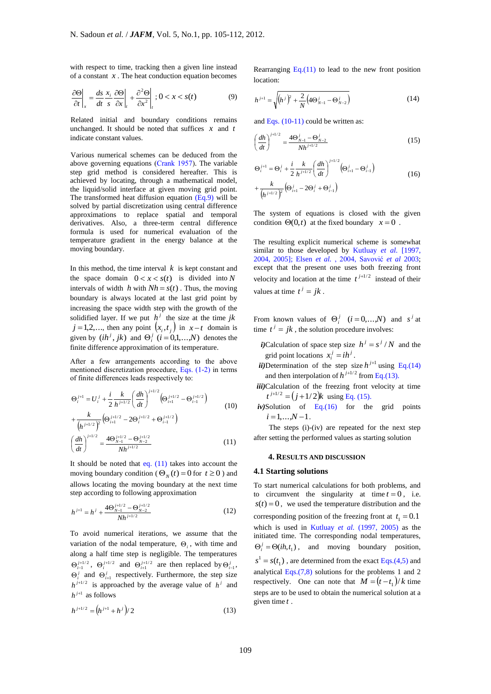with respect to time, tracking then a given line instead of a constant *x* . The heat conduction equation becomes

$$
\left. \frac{\partial \Theta}{\partial t} \right|_{x} = \frac{ds}{dt} \frac{x_i}{s} \frac{\partial \Theta}{\partial x} \bigg|_{t} + \frac{\partial^2 \Theta}{\partial x^2} \bigg|_{t} ; 0 < x < s(t) \tag{9}
$$

Related initial and boundary conditions remains unchanged. It should be noted that suffices  $x$  and  $t$ indicate constant values.

Various numerical schemes can be deduced from the above governing equations (Crank 1957). The variable step grid method is considered hereafter. This is achieved by locating, through a mathematical model, the liquid/solid interface at given moving grid point. The transformed heat diffusion equation  $(Eq.9)$  will be solved by partial discretization using central difference approximations to replace spatial and temporal derivatives. Also, a three-term central difference formula is used for numerical evaluation of the temperature gradient in the energy balance at the moving boundary.

In this method, the time interval  $k$  is kept constant and the space domain  $0 < x < s(t)$  is divided into N intervals of width  $h$  with  $Nh = s(t)$ . Thus, the moving boundary is always located at the last grid point by increasing the space width step with the growth of the solidified layer. If we put  $h^j$  the size at the time jk  $j = 1, 2, \dots$ , then any point  $(x_i, t_j)$  in  $x - t$  domain is given by  $(ih^j, jk)$  and  $\Theta_i^j$   $(i = 0,1,...,N)$  denotes the finite difference approximation of its temperature.

After a few arrangements according to the above mentioned discretization procedure, Eqs. (1-2) in terms of finite differences leads respectively to:

$$
\Theta_{i}^{j+1} = U_{i}^{j} + \frac{i}{2} \frac{k}{h^{j+1/2}} \left(\frac{dh}{dt}\right)^{j+1/2} \left(\Theta_{i+1}^{j+1/2} - \Theta_{i-1}^{j+1/2}\right)
$$
  
+ 
$$
\frac{k}{\left(h^{j+1/2}\right)^{2}} \left(\Theta_{i+1}^{j+1/2} - 2\Theta_{i}^{j+1/2} + \Theta_{i-1}^{j+1/2}\right)
$$
  

$$
\left(\frac{dh}{dt}\right)^{j+1/2} = \frac{4\Theta_{N-1}^{j+1/2} - \Theta_{N-2}^{j+1/2}}{Nh^{j+1/2}}
$$
 (11)

It should be noted that eq. (11) takes into account the moving boundary condition ( $\Theta_N(t) = 0$  for  $t \ge 0$ ) and allows locating the moving boundary at the next time step according to following approximation

$$
h^{j+1} = h^j + \frac{4\Theta_{N-1}^{j+1/2} - \Theta_{N-2}^{j+1/2}}{Nh^{j+1/2}}
$$
(12)

To avoid numerical iterations, we assume that the variation of the nodal temperature,  $\Theta_i$ , with time and along a half time step is negligible. The temperatures  $\Theta_{i-1}^{j+1/2}$ ,  $\Theta_i^{j+1/2}$  and  $\Theta_{i+1}^{j+1/2}$  are then replaced by  $\Theta_{i-1}^j$ ,  $\Theta_i^j$  and  $\Theta_{i+1}^j$  respectively. Furthermore, the step size  $h^{j+1/2}$  is approached by the average value of  $h^j$  and  $h^{j+1}$  as follows

$$
h^{j+1/2} = (h^{j+1} + h^j)/2 \tag{13}
$$

Rearranging  $Eq.(11)$  to lead to the new front position location:

$$
h^{j+1} = \sqrt{\left(h^j\right)^2 + \frac{2}{N} \left(4\Theta_{N-1}^j - \Theta_{N-2}^j\right)}
$$
(14)

and Eqs. (10-11) could be written as:

$$
\left(\frac{dh}{dt}\right)^{j+1/2} = \frac{4\Theta_{N-1}^j - \Theta_{N-2}^j}{Nh^{j+1/2}}
$$
\n(15)

$$
\Theta_i^{j+1} = \Theta_i^j + \frac{i}{2} \frac{k}{h^{j+1/2}} \left(\frac{dh}{dt}\right)^{j+1/2} \left(\Theta_{i+1}^j - \Theta_{i-1}^j\right)
$$
  
+ 
$$
\frac{k}{\left(h^{j+1/2}\right)^2} \left(\Theta_{i+1}^j - 2\Theta_i^j + \Theta_{i-1}^j\right)
$$
(16)

The system of equations is closed with the given condition  $\Theta(0,t)$  at the fixed boundary  $x = 0$ .

The resulting explicit numerical scheme is somewhat similar to those developed by Kutluay *et al*. [1997, 2004, 2005]; Elsen *et al.* , 2004, Savović *et al* 2003; except that the present one uses both freezing front velocity and location at the time  $t^{j+1/2}$  instead of their values at time  $t^j = jk$ .

From known values of  $\Theta_i^j$   $(i=0,...,N)$  and  $s^j$  at time  $t^j = jk$ , the solution procedure involves:

- *i*)Calculation of space step size  $h^{j} = s^{j} / N$  and the grid point locations  $x_i^j = i h^j$ .
- *ii*)Determination of the step size  $h^{j+1}$  using Eq.(14) and then interpolation of  $h^{j+1/2}$  from Eq.(13).
- *iii)*Calculation of the freezing front velocity at time  $t^{j+1/2} = (j+1/2)k$  using Eq. (15).
- *iv*)Solution of Eq.(16) for the grid points  $i = 1,...,N - 1$ .

The steps (i)-(iv) are repeated for the next step after setting the performed values as starting solution

#### **4. RESULTS AND DISCUSSION**

### **4.1 Starting solutions**

To start numerical calculations for both problems, and to circumvent the singularity at time  $t = 0$ , i.e.  $s(t) = 0$ , we used the temperature distribution and the corresponding position of the freezing front at  $t_1 = 0.1$ which is used in Kutluay *et al.* (1997, 2005) as the initiated time. The corresponding nodal temperatures,  $\Theta_i^j = \Theta(ih, t_1)$ , and moving boundary position,  $s<sup>1</sup> = s(t<sub>1</sub>)$ , are determined from the exact Eqs.(4,5) and analytical Eqs. $(7,8)$  solutions for the problems 1 and 2 respectively. One can note that  $M = (t - t_1)/k$  time steps are to be used to obtain the numerical solution at a given time *t* .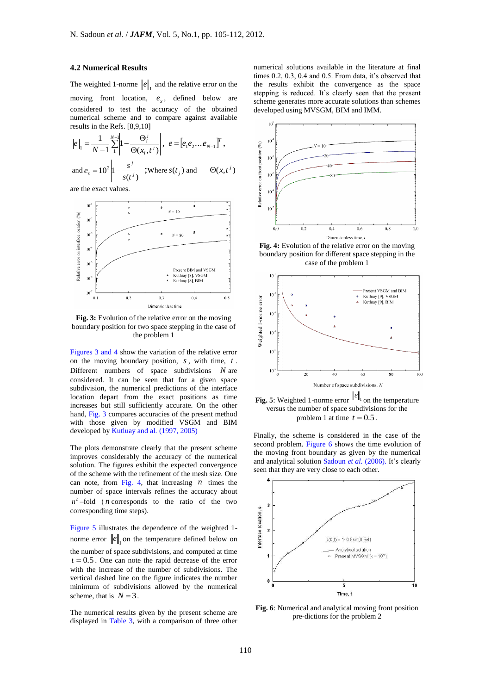# **4.2 Numerical Results**

The weighted 1-norme  $||e||_1$  and the relative error on the moving front location,  $e_x$ , defined below are considered to test the accuracy of the obtained numerical scheme and to compare against available results in the Refs. [8,9,10]

$$
\|e\|_1 = \frac{1}{N-1} \sum_{i=1}^{N-1} \left| 1 - \frac{\Theta_i^j}{\Theta(x_i, t^j)} \right|, e = \left[e_1 e_2 \dots e_{N-1}\right]^T,
$$
  
and  $e_s = 10^2 \left| 1 - \frac{s^j}{s(t^j)} \right|$ ; Where  $s(t_j)$  and  $\Theta(x, t^j)$ 

are the exact values.



**Fig. 3:** Evolution of the relative error on the moving boundary position for two space stepping in the case of the problem 1

Figures 3 and 4 show the variation of the relative error on the moving boundary position, *s* , with time, *t* . Different numbers of space subdivisions *N* are considered. It can be seen that for a given space subdivision, the numerical predictions of the interface location depart from the exact positions as time increases but still sufficiently accurate. On the other hand, Fig. 3 compares accuracies of the present method with those given by modified VSGM and BIM developed by Kutluay and al. (1997, 2005)

The plots demonstrate clearly that the present scheme improves considerably the accuracy of the numerical solution. The figures exhibit the expected convergence of the scheme with the refinement of the mesh size. One can note, from Fig. 4, that increasing  $n$  times the number of space intervals refines the accuracy about  $n^2$  –fold (*n* corresponds to the ratio of the two corresponding time steps).

Figure 5 illustrates the dependence of the weighted 1 norme error  $||e||_1$  on the temperature defined below on the number of space subdivisions, and computed at time  $t = 0.5$ . One can note the rapid decrease of the error with the increase of the number of subdivisions. The vertical dashed line on the figure indicates the number minimum of subdivisions allowed by the numerical scheme, that is  $N = 3$ .

The numerical results given by the present scheme are displayed in Table 3, with a comparison of three other

numerical solutions available in the literature at final times 0.2, 0.3, 0.4 and 0.5. From data, it's observed that the results exhibit the convergence as the space stepping is reduced. It's clearly seen that the present scheme generates more accurate solutions than schemes developed using MVSGM, BIM and IMM.



**Fig. 4:** Evolution of the relative error on the moving boundary position for different space stepping in the case of the problem 1



**Fig. 5**: Weighted 1-norme error  $\|e\|$  on the temperature versus the number of space subdivisions for the problem 1 at time  $t = 0.5$ .

Finally, the scheme is considered in the case of the second problem. Figure 6 shows the time evolution of the moving front boundary as given by the numerical and analytical solution Sadoun *et al.* (2006). It's clearly seen that they are very close to each other.



**Fig. 6**: Numerical and analytical moving front position pre-dictions for the problem 2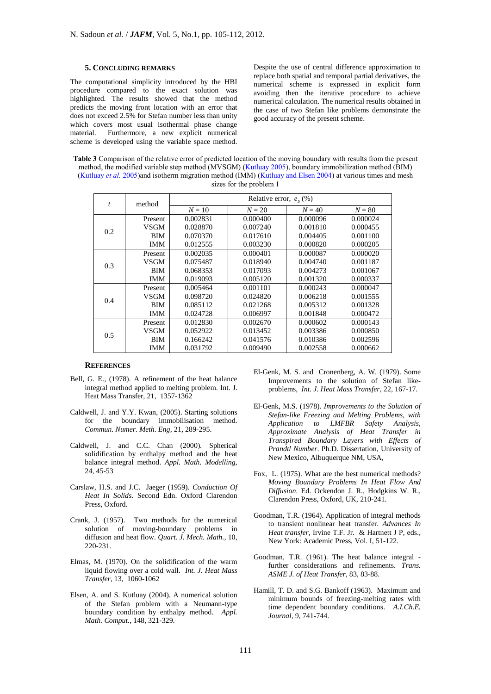# **5. CONCLUDING REMARKS**

The computational simplicity introduced by the HBI procedure compared to the exact solution was highlighted. The results showed that the method predicts the moving front location with an error that does not exceed 2.5% for Stefan number less than unity which covers most usual isothermal phase change material. Furthermore, a new explicit numerical scheme is developed using the variable space method.

Despite the use of central difference approximation to replace both spatial and temporal partial derivatives, the numerical scheme is expressed in explicit form avoiding then the iterative procedure to achieve numerical calculation. The numerical results obtained in the case of two Stefan like problems demonstrate the good accuracy of the present scheme.

**Table 3** Comparison of the relative error of predicted location of the moving boundary with results from the present method, the modified variable step method (MVSGM) (Kutluay 2005), boundary immobilization method (BIM) (Kutluay *et al.* 2005)and isotherm migration method (IMM) (Kutluay and Elsen 2004) at various times and mesh sizes for the problem 1

| $\boldsymbol{t}$ | method      | Relative error, $e_s$ (%) |          |          |          |
|------------------|-------------|---------------------------|----------|----------|----------|
|                  |             | $N=10$                    | $N = 20$ | $N = 40$ | $N = 80$ |
|                  | Present     | 0.002831                  | 0.000400 | 0.000096 | 0.000024 |
| 0.2              | <b>VSGM</b> | 0.028870                  | 0.007240 | 0.001810 | 0.000455 |
|                  | <b>BIM</b>  | 0.070370                  | 0.017610 | 0.004405 | 0.001100 |
|                  | <b>IMM</b>  | 0.012555                  | 0.003230 | 0.000820 | 0.000205 |
|                  | Present     | 0.002035                  | 0.000401 | 0.000087 | 0.000020 |
| 0.3              | <b>VSGM</b> | 0.075487                  | 0.018940 | 0.004740 | 0.001187 |
|                  | <b>BIM</b>  | 0.068353                  | 0.017093 | 0.004273 | 0.001067 |
|                  | <b>IMM</b>  | 0.019093                  | 0.005120 | 0.001320 | 0.000337 |
|                  | Present     | 0.005464                  | 0.001101 | 0.000243 | 0.000047 |
| 0.4              | <b>VSGM</b> | 0.098720                  | 0.024820 | 0.006218 | 0.001555 |
|                  | <b>BIM</b>  | 0.085112                  | 0.021268 | 0.005312 | 0.001328 |
|                  | <b>IMM</b>  | 0.024728                  | 0.006997 | 0.001848 | 0.000472 |
|                  | Present     | 0.012830                  | 0.002670 | 0.000602 | 0.000143 |
| 0.5              | VSGM        | 0.052922                  | 0.013452 | 0.003386 | 0.000850 |
|                  | <b>BIM</b>  | 0.166242                  | 0.041576 | 0.010386 | 0.002596 |
|                  | IMM         | 0.031792                  | 0.009490 | 0.002558 | 0.000662 |

## **REFERENCES**

- Bell, G. E., (1978). A refinement of the heat balance integral method applied to melting problem. Int. J. Heat Mass Transfer, 21, 1357-1362
- Caldwell, J. and Y.Y. Kwan, (2005). Starting solutions for the boundary immobilisation method. *Commun. Numer. Meth. Eng,* 21, 289-295.
- Caldwell, J. and C.C. Chan (2000). Spherical solidification by enthalpy method and the heat balance integral method. *Appl. Math. Modelling,* 24, 45-53
- Carslaw, H.S. and J.C. Jaeger (1959). *Conduction Of Heat In Solids.* Second Edn. Oxford Clarendon Press, Oxford.
- Crank, J. (1957). Two methods for the numerical solution of moving-boundary problems in diffusion and heat flow. *Quart. J. Mech. Math.,* 10, 220-231.
- Elmas, M. (1970). On the solidification of the warm liquid flowing over a cold wall. *Int. J. Heat Mass Transfer*, 13, 1060-1062
- Elsen, A. and S. Kutluay (2004). A numerical solution of the Stefan problem with a Neumann-type boundary condition by enthalpy method. *Appl. Math. Comput.*, 148, 321-329.
- El-Genk, M. S. and Cronenberg, A. W. (1979). Some Improvements to the solution of Stefan likeproblems, *Int. J. Heat Mass Transfer*, 22, 167-17.
- El-Genk, M.S. (1978). *Improvements to the Solution of Stefan-like Freezing and Melting Problems, with Application to LMFBR Safety Analysis, Approximate Analysis of Heat Transfer in Transpired Boundary Layers with Effects of Prandtl Number*. Ph.D. Dissertation, University of New Mexico, Albuquerque NM, USA,
- Fox, L. (1975). What are the best numerical methods? *Moving Boundary Problems In Heat Flow And Diffusion*. Ed. Ockendon J. R., Hodgkins W. R., Clarendon Press, Oxford, UK, 210-241.
- Goodman, T.R. (1964). Application of integral methods to transient nonlinear heat transfer. *Advances In Heat transfer*, Irvine T.F. Jr. & Hartnett J P, eds., New York: Academic Press, Vol. I, 51-122.
- Goodman, T.R. (1961). The heat balance integral further considerations and refinements. *Trans. ASME J. of Heat Transfer*, 83, 83-88.
- Hamill, T. D. and S.G. Bankoff (1963). Maximum and minimum bounds of freezing-melting rates with time dependent boundary conditions. *A.I.Ch.E. Journal*, 9, 741-744.